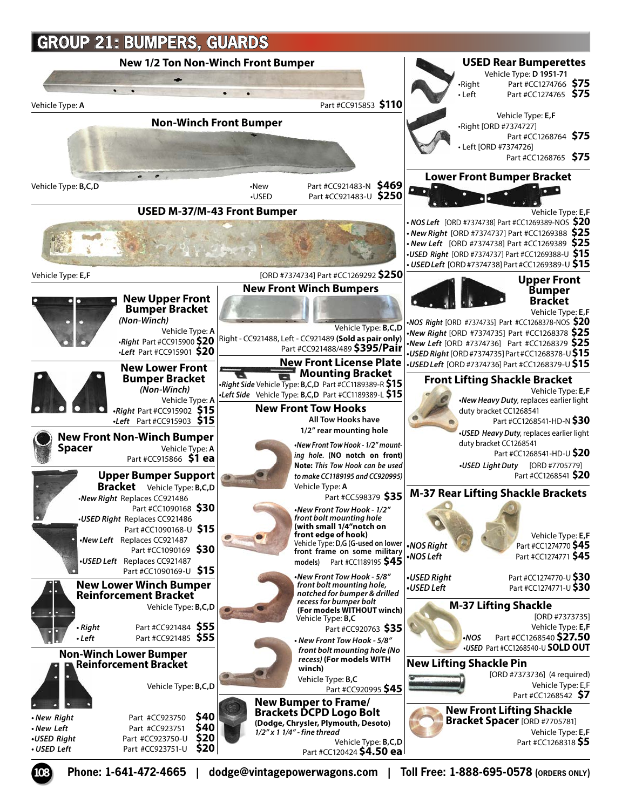